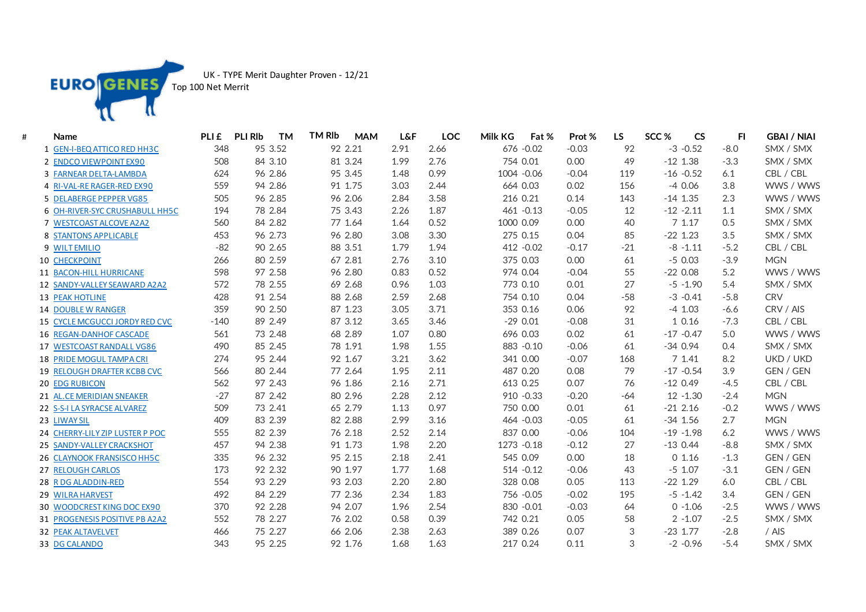

UK - TYPE Merit Daughter Proven - 12/21

Top 100 Net Merrit

| # | <b>Name</b>                        | PLI £  | <b>PLI RIb</b><br><b>TM</b> | <b>TM RIb</b><br><b>MAM</b> | <b>L&amp;F</b> | <b>LOC</b> | Milk KG<br>Fat % | Prot %  | <b>LS</b> | SCC <sub>%</sub> | <b>CS</b>   | FI.    | <b>GBAI / NIAI</b> |
|---|------------------------------------|--------|-----------------------------|-----------------------------|----------------|------------|------------------|---------|-----------|------------------|-------------|--------|--------------------|
|   | 1 GEN-I-BEQ ATTICO RED HH3C        | 348    | 95 3.52                     | 92 2.21                     | 2.91           | 2.66       | 676 - 0.02       | $-0.03$ | 92        |                  | $-3 - 0.52$ | $-8.0$ | SMX / SMX          |
|   | 2 ENDCO VIEWPOINT EX90             | 508    | 84 3.10                     | 81 3.24                     | 1.99           | 2.76       | 754 0.01         | 0.00    | 49        | $-12$ 1.38       |             | $-3.3$ | SMX / SMX          |
|   | 3 FARNEAR DELTA-LAMBDA             | 624    | 96 2.86                     | 95 3.45                     | 1.48           | 0.99       | 1004 -0.06       | $-0.04$ | 119       | $-16 - 0.52$     |             | 6.1    | CBL / CBL          |
|   | 4 RI-VAL-RE RAGER-RED EX90         | 559    | 94 2.86                     | 91 1.75                     | 3.03           | 2.44       | 664 0.03         | 0.02    | 156       |                  | $-40.06$    | 3.8    | WWS / WWS          |
|   | 5 DELABERGE PEPPER VG85            | 505    | 96 2.85                     | 96 2.06                     | 2.84           | 3.58       | 216 0.21         | 0.14    | 143       | $-14$ 1.35       |             | 2.3    | WWS / WWS          |
|   | 6 OH-RIVER-SYC CRUSHABULL HH5C     | 194    | 78 2.84                     | 75 3.43                     | 2.26           | 1.87       | 461 - 0.13       | $-0.05$ | 12        | $-12 - 2.11$     |             | 1.1    | SMX / SMX          |
|   | 7 WESTCOAST ALCOVE A2A2            | 560    | 84 2.82                     | 77 1.64                     | 1.64           | 0.52       | 1000 0.09        | 0.00    | 40        |                  | 71.17       | 0.5    | SMX / SMX          |
|   | 8 STANTONS APPLICABLE              | 453    | 96 2.73                     | 96 2.80                     | 3.08           | 3.30       | 275 0.15         | 0.04    | 85        | $-22$ 1.23       |             | 3.5    | SMX / SMX          |
|   | 9 WILT EMILIO                      | $-82$  | 90 2.65                     | 88 3.51                     | 1.79           | 1.94       | 412 - 0.02       | $-0.17$ | $-21$     |                  | $-8 - 1.11$ | $-5.2$ | CBL / CBL          |
|   | <b>10 CHECKPOINT</b>               | 266    | 80 2.59                     | 67 2.81                     | 2.76           | 3.10       | 375 0.03         | 0.00    | 61        | $-50.03$         |             | $-3.9$ | <b>MGN</b>         |
|   | 11 BACON-HILL HURRICANE            | 598    | 97 2.58                     | 96 2.80                     | 0.83           | 0.52       | 974 0.04         | $-0.04$ | 55        | $-220.08$        |             | 5.2    | WWS / WWS          |
|   | 12 SANDY-VALLEY SEAWARD A2A2       | 572    | 78 2.55                     | 69 2.68                     | 0.96           | 1.03       | 773 0.10         | 0.01    | 27        |                  | $-5 - 1.90$ | 5.4    | SMX / SMX          |
|   | <b>13 PEAK HOTLINE</b>             | 428    | 91 2.54                     | 88 2.68                     | 2.59           | 2.68       | 754 0.10         | 0.04    | $-58$     |                  | $-3 - 0.41$ | $-5.8$ | <b>CRV</b>         |
|   | <b>14 DOUBLE W RANGER</b>          | 359    | 90 2.50                     | 87 1.23                     | 3.05           | 3.71       | 353 0.16         | 0.06    | 92        | $-4$ 1.03        |             | $-6.6$ | CRV / AIS          |
|   | 15 CYCLE MCGUCCI JORDY RED CVC     | $-140$ | 89 2.49                     | 87 3.12                     | 3.65           | 3.46       | $-290.01$        | $-0.08$ | 31        |                  | 1 0.16      | $-7.3$ | CBL / CBL          |
|   | <b>16 REGAN-DANHOF CASCADE</b>     | 561    | 73 2.48                     | 68 2.89                     | 1.07           | 0.80       | 696 0.03         | 0.02    | 61        | $-17 - 0.47$     |             | 5.0    | WWS / WWS          |
|   | 17 WESTCOAST RANDALL VG86          | 490    | 85 2.45                     | 78 1.91                     | 1.98           | 1.55       | 883 - 0.10       | $-0.06$ | 61        | $-340.94$        |             | 0.4    | SMX / SMX          |
|   | 18 PRIDE MOGUL TAMPA CRI           | 274    | 95 2.44                     | 92 1.67                     | 3.21           | 3.62       | 341 0.00         | $-0.07$ | 168       |                  | 7 1.41      | 8.2    | UKD / UKD          |
|   | <b>19 RELOUGH DRAFTER KCBB CVC</b> | 566    | 80 2.44                     | 77 2.64                     | 1.95           | 2.11       | 487 0.20         | 0.08    | 79        | $-17 - 0.54$     |             | 3.9    | GEN / GEN          |
|   | <b>20 EDG RUBICON</b>              | 562    | 97 2.43                     | 96 1.86                     | 2.16           | 2.71       | 613 0.25         | 0.07    | 76        | $-120.49$        |             | $-4.5$ | CBL / CBL          |
|   | 21 AL.CE MERIDIAN SNEAKER          | $-27$  | 87 2.42                     | 80 2.96                     | 2.28           | 2.12       | 910 - 0.33       | $-0.20$ | $-64$     |                  | $12 - 1.30$ | $-2.4$ | <b>MGN</b>         |
|   | 22 S-S-I LA SYRACSE ALVAREZ        | 509    | 73 2.41                     | 65 2.79                     | 1.13           | 0.97       | 750 0.00         | 0.01    | 61        | $-21$ 2.16       |             | $-0.2$ | WWS / WWS          |
|   | 23 LIWAY SIL                       | 409    | 83 2.39                     | 82 2.88                     | 2.99           | 3.16       | 464 - 0.03       | $-0.05$ | 61        | $-34$ 1.56       |             | 2.7    | <b>MGN</b>         |
|   | 24 CHERRY-LILY ZIP LUSTER P POC    | 555    | 82 2.39                     | 76 2.18                     | 2.52           | 2.14       | 837 0.00         | $-0.06$ | 104       | $-19 - 1.98$     |             | 6.2    | WWS / WWS          |
|   | 25 SANDY-VALLEY CRACKSHOT          | 457    | 94 2.38                     | 91 1.73                     | 1.98           | 2.20       | 1273 - 0.18      | $-0.12$ | 27        | $-130.44$        |             | $-8.8$ | SMX / SMX          |
|   | 26 CLAYNOOK FRANSISCO HH5C         | 335    | 96 2.32                     | 95 2.15                     | 2.18           | 2.41       | 545 0.09         | 0.00    | 18        |                  | 01.16       | $-1.3$ | GEN / GEN          |
|   | 27 RELOUGH CARLOS                  | 173    | 92 2.32                     | 90 1.97                     | 1.77           | 1.68       | 514 - 0.12       | $-0.06$ | 43        | $-5$ 1.07        |             | $-3.1$ | GEN / GEN          |
|   | 28 R DG ALADDIN-RED                | 554    | 93 2.29                     | 93 2.03                     | 2.20           | 2.80       | 328 0.08         | 0.05    | 113       | $-22$ 1.29       |             | 6.0    | CBL / CBL          |
|   | 29 WILRA HARVEST                   | 492    | 84 2.29                     | 77 2.36                     | 2.34           | 1.83       | 756 - 0.05       | $-0.02$ | 195       |                  | $-5 - 1.42$ | 3.4    | GEN / GEN          |
|   | 30 WOODCREST KING DOC EX90         | 370    | 92 2.28                     | 94 2.07                     | 1.96           | 2.54       | 830 - 0.01       | $-0.03$ | 64        |                  | $0 - 1.06$  | $-2.5$ | WWS / WWS          |
|   | 31 PROGENESIS POSITIVE PB A2A2     | 552    | 78 2.27                     | 76 2.02                     | 0.58           | 0.39       | 742 0.21         | 0.05    | 58        |                  | $2 - 1.07$  | $-2.5$ | SMX / SMX          |
|   | <b>32 PEAK ALTAVELVET</b>          | 466    | 75 2.27                     | 66 2.06                     | 2.38           | 2.63       | 389 0.26         | 0.07    | 3         | $-23$ 1.77       |             | $-2.8$ | / AIS              |
|   | 33 DG CALANDO                      | 343    | 95 2.25                     | 92 1.76                     | 1.68           | 1.63       | 217 0.24         | 0.11    | 3         |                  | $-2 -0.96$  | $-5.4$ | SMX / SMX          |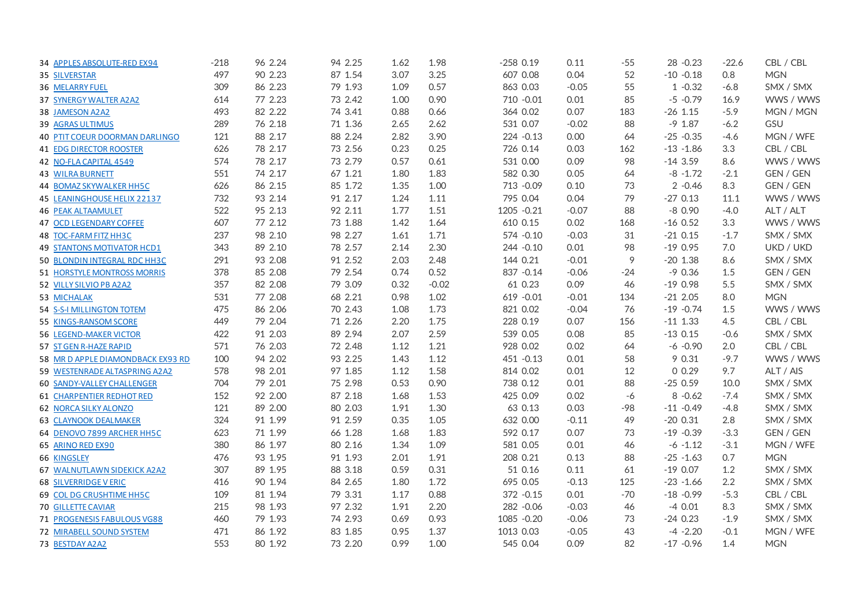| 34 APPLES ABSOLUTE-RED EX94           | $-218$ | 96 2.24 | 94 2.25 | 1.62 | 1.98    | $-258$ 0.19 | 0.11    | $-55$ | 28 - 0.23    | $-22.6$ | CBL / CBL  |
|---------------------------------------|--------|---------|---------|------|---------|-------------|---------|-------|--------------|---------|------------|
| 35 SILVERSTAR                         | 497    | 90 2.23 | 87 1.54 | 3.07 | 3.25    | 607 0.08    | 0.04    | 52    | $-10 - 0.18$ | 0.8     | <b>MGN</b> |
| 36 MELARRY FUEL                       | 309    | 86 2.23 | 79 1.93 | 1.09 | 0.57    | 863 0.03    | $-0.05$ | 55    | $1 - 0.32$   | $-6.8$  | SMX / SMX  |
| 37 SYNERGY WALTER A2A2                | 614    | 77 2.23 | 73 2.42 | 1.00 | 0.90    | 710 - 0.01  | 0.01    | 85    | $-5 - 0.79$  | 16.9    | WWS / WWS  |
| 38 JAMESON A2A2                       | 493    | 82 2.22 | 74 3.41 | 0.88 | 0.66    | 364 0.02    | 0.07    | 183   | $-26$ 1.15   | $-5.9$  | MGN / MGN  |
| 39 AGRAS ULTIMUS                      | 289    | 76 2.18 | 71 1.36 | 2.65 | 2.62    | 531 0.07    | $-0.02$ | 88    | $-9$ 1.87    | $-6.2$  | GSU        |
| <b>40 PTIT COEUR DOORMAN DARLINGO</b> | 121    | 88 2.17 | 88 2.24 | 2.82 | 3.90    | 224 - 0.13  | 0.00    | 64    | $-25 - 0.35$ | $-4.6$  | MGN / WFE  |
| <b>41 EDG DIRECTOR ROOSTER</b>        | 626    | 78 2.17 | 73 2.56 | 0.23 | 0.25    | 726 0.14    | 0.03    | 162   | $-13 - 1.86$ | 3.3     | CBL / CBL  |
| 42 NO-FLA CAPITAL 4549                | 574    | 78 2.17 | 73 2.79 | 0.57 | 0.61    | 531 0.00    | 0.09    | 98    | $-143.59$    | 8.6     | WWS / WWS  |
| <b>43 WILRA BURNETT</b>               | 551    | 74 2.17 | 67 1.21 | 1.80 | 1.83    | 582 0.30    | 0.05    | 64    | $-8 - 1.72$  | $-2.1$  | GEN / GEN  |
| 44 BOMAZ SKYWALKER HH5C               | 626    | 86 2.15 | 85 1.72 | 1.35 | 1.00    | 713 - 0.09  | 0.10    | 73    | $2 -0.46$    | 8.3     | GEN / GEN  |
| 45 LEANINGHOUSE HELIX 22137           | 732    | 93 2.14 | 91 2.17 | 1.24 | 1.11    | 795 0.04    | 0.04    | 79    | $-270.13$    | 11.1    | WWS / WWS  |
| <b>46 PEAK ALTAAMULET</b>             | 522    | 95 2.13 | 92 2.11 | 1.77 | 1.51    | 1205 -0.21  | $-0.07$ | 88    | $-80.90$     | $-4.0$  | ALT / ALT  |
| <b>47 OCD LEGENDARY COFFEE</b>        | 607    | 77 2.12 | 73 1.88 | 1.42 | 1.64    | 610 0.15    | 0.02    | 168   | $-16$ 0.52   | 3.3     | WWS / WWS  |
| 48 TOC-FARM FITZ HH3C                 | 237    | 98 2.10 | 98 2.27 | 1.61 | 1.71    | 574 - 0.10  | $-0.03$ | 31    | $-21$ 0.15   | $-1.7$  | SMX / SMX  |
| <b>49 STANTONS MOTIVATOR HCD1</b>     | 343    | 89 2.10 | 78 2.57 | 2.14 | 2.30    | 244 - 0.10  | 0.01    | 98    | $-190.95$    | 7.0     | UKD / UKD  |
| 50 BLONDIN INTEGRAL RDC HH3C          | 291    | 93 2.08 | 91 2.52 | 2.03 | 2.48    | 144 0.21    | $-0.01$ | 9     | $-20$ 1.38   | 8.6     | SMX / SMX  |
| 51 HORSTYLE MONTROSS MORRIS           | 378    | 85 2.08 | 79 2.54 | 0.74 | 0.52    | 837 - 0.14  | $-0.06$ | $-24$ | $-90.36$     | 1.5     | GEN / GEN  |
| 52 VILLY SILVIO PB A2A2               | 357    | 82 2.08 | 79 3.09 | 0.32 | $-0.02$ | 61 0.23     | 0.09    | 46    | $-190.98$    | 5.5     | SMX / SMX  |
| 53 MICHALAK                           | 531    | 77 2.08 | 68 2.21 | 0.98 | 1.02    | 619 - 0.01  | $-0.01$ | 134   | $-212.05$    | 8.0     | <b>MGN</b> |
| 54 S-S-I MILLINGTON TOTEM             | 475    | 86 2.06 | 70 2.43 | 1.08 | 1.73    | 821 0.02    | $-0.04$ | 76    | $-19 - 0.74$ | 1.5     | WWS / WWS  |
| 55 KINGS-RANSOM SCORE                 | 449    | 79 2.04 | 71 2.26 | 2.20 | 1.75    | 228 0.19    | 0.07    | 156   | $-11$ 1.33   | 4.5     | CBL / CBL  |
| <b>56 LEGEND-MAKER VICTOR</b>         | 422    | 91 2.03 | 89 2.94 | 2.07 | 2.59    | 539 0.05    | 0.08    | 85    | $-130.15$    | $-0.6$  | SMX / SMX  |
| 57 ST GEN R-HAZE RAPID                | 571    | 76 2.03 | 72 2.48 | 1.12 | 1.21    | 928 0.02    | 0.02    | 64    | $-6 - 0.90$  | 2.0     | CBL / CBL  |
| 58 MR D APPLE DIAMONDBACK EX93 RD     | 100    | 94 2.02 | 93 2.25 | 1.43 | 1.12    | 451 - 0.13  | 0.01    | 58    | 9 0.31       | $-9.7$  | WWS / WWS  |
| 59 WESTENRADE ALTASPRING A2A2         | 578    | 98 2.01 | 97 1.85 | 1.12 | 1.58    | 814 0.02    | 0.01    | 12    | 00.29        | 9.7     | ALT / AIS  |
| <b>60 SANDY-VALLEY CHALLENGER</b>     | 704    | 79 2.01 | 75 2.98 | 0.53 | 0.90    | 738 0.12    | 0.01    | 88    | $-250.59$    | 10.0    | SMX / SMX  |
| <b>61 CHARPENTIER REDHOT RED</b>      | 152    | 92 2.00 | 87 2.18 | 1.68 | 1.53    | 425 0.09    | 0.02    | -6    | $8 - 0.62$   | $-7.4$  | SMX / SMX  |
| <b>62 NORCA SILKY ALONZO</b>          | 121    | 89 2.00 | 80 2.03 | 1.91 | 1.30    | 63 0.13     | 0.03    | -98   | $-11 - 0.49$ | $-4.8$  | SMX / SMX  |
| <b>63 CLAYNOOK DEALMAKER</b>          | 324    | 91 1.99 | 91 2.59 | 0.35 | 1.05    | 632 0.00    | $-0.11$ | 49    | $-200.31$    | 2.8     | SMX / SMX  |
| 64 DENOVO 7899 ARCHER HH5C            | 623    | 71 1.99 | 66 1.28 | 1.68 | 1.83    | 592 0.17    | 0.07    | 73    | $-19 - 0.39$ | $-3.3$  | GEN / GEN  |
| 65 ARINO RED EX90                     | 380    | 86 1.97 | 80 2.16 | 1.34 | 1.09    | 581 0.05    | 0.01    | 46    | $-6 - 1.12$  | $-3.1$  | MGN / WFE  |
| 66 KINGSLEY                           | 476    | 93 1.95 | 91 1.93 | 2.01 | 1.91    | 208 0.21    | 0.13    | 88    | $-25 - 1.63$ | 0.7     | <b>MGN</b> |
| 67 WALNUTLAWN SIDEKICK A2A2           | 307    | 89 1.95 | 88 3.18 | 0.59 | 0.31    | 51 0.16     | 0.11    | 61    | $-190.07$    | 1.2     | SMX / SMX  |
| <b>68 SILVERRIDGE V ERIC</b>          | 416    | 90 1.94 | 84 2.65 | 1.80 | 1.72    | 695 0.05    | $-0.13$ | 125   | $-23 - 1.66$ | 2.2     | SMX / SMX  |
| 69 COL DG CRUSHTIME HH5C              | 109    | 81 1.94 | 79 3.31 | 1.17 | 0.88    | 372 - 0.15  | 0.01    | $-70$ | $-18 - 0.99$ | $-5.3$  | CBL / CBL  |
| <b>70 GILLETTE CAVIAR</b>             | 215    | 98 1.93 | 97 2.32 | 1.91 | 2.20    | 282 - 0.06  | $-0.03$ | 46    | $-40.01$     | 8.3     | SMX / SMX  |
| 71 PROGENESIS FABULOUS VG88           | 460    | 79 1.93 | 74 2.93 | 0.69 | 0.93    | 1085 -0.20  | $-0.06$ | 73    | $-240.23$    | $-1.9$  | SMX / SMX  |
| <b>72 MIRABELL SOUND SYSTEM</b>       | 471    | 86 1.92 | 83 1.85 | 0.95 | 1.37    | 1013 0.03   | $-0.05$ | 43    | $-4 - 2.20$  | $-0.1$  | MGN / WFE  |
| 73 BESTDAY A2A2                       | 553    | 80 1.92 | 73 2.20 | 0.99 | 1.00    | 545 0.04    | 0.09    | 82    | $-17 - 0.96$ | 1.4     | <b>MGN</b> |